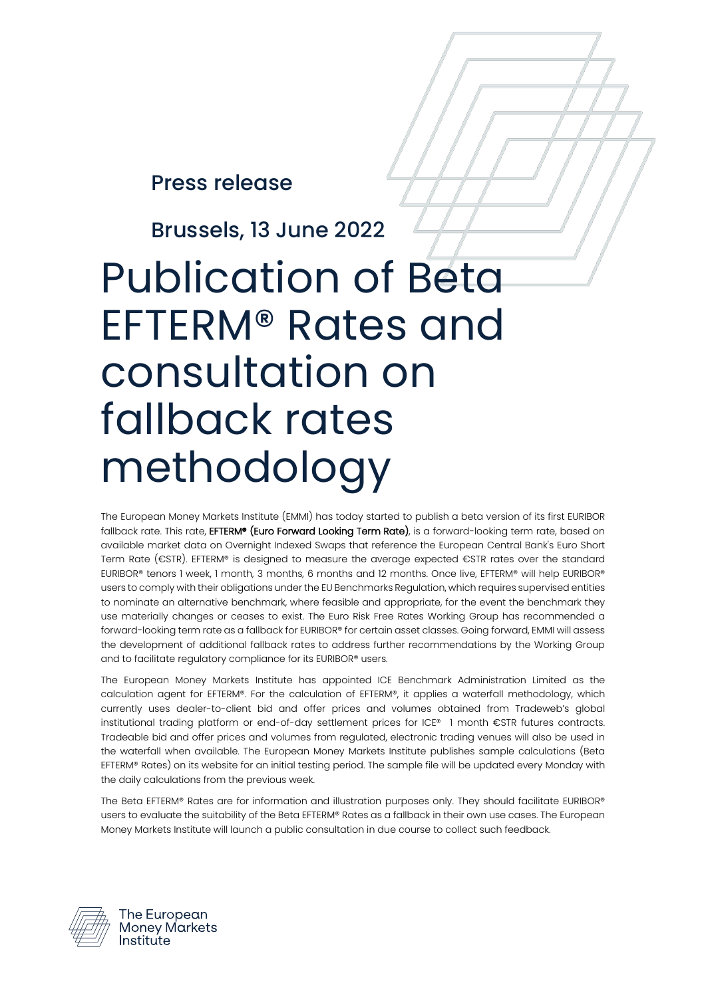Press release

Brussels, 13 June 2022

# Publication of Beta EFTERM® Rates and consultation on fallback rates methodology

The European Money Markets Institute (EMMI) has today started to publish a beta version of its first EURIBOR fallback rate. This rate, EFTERM® (Euro Forward Looking Term Rate), is a forward-looking term rate, based on available market data on Overnight Indexed Swaps that reference the European Central Bank's Euro Short Term Rate (€STR). EFTERM® is designed to measure the average expected €STR rates over the standard EURIBOR® tenors 1 week, 1 month, 3 months, 6 months and 12 months. Once live, EFTERM® will help EURIBOR® users to comply with their obligations under the EU Benchmarks Regulation, which requires supervised entities to nominate an alternative benchmark, where feasible and appropriate, for the event the benchmark they use materially changes or ceases to exist. The Euro Risk Free Rates Working Group has recommended a forward-looking term rate as a fallback for EURIBOR® for certain asset classes. Going forward, EMMI will assess the development of additional fallback rates to address further recommendations by the Working Group and to facilitate regulatory compliance for its EURIBOR® users.

The European Money Markets Institute has appointed ICE Benchmark Administration Limited as the calculation agent for EFTERM®. For the calculation of EFTERM®, it applies a waterfall methodology, which currently uses dealer-to-client bid and offer prices and volumes obtained from Tradeweb's global institutional trading platform or end-of-day settlement prices for ICE® 1 month €STR futures contracts. Tradeable bid and offer prices and volumes from regulated, electronic trading venues will also be used in the waterfall when available. The European Money Markets Institute publishes sample calculations (Beta EFTERM® Rates) on its website for an initial testing period. The sample file will be updated every Monday with the daily calculations from the previous week.

The Beta EFTERM® Rates are for information and illustration purposes only. They should facilitate EURIBOR® users to evaluate the suitability of the Beta EFTERM® Rates as a fallback in their own use cases. The European Money Markets Institute will launch a public consultation in due course to collect such feedback.



The European Monev Markets Institute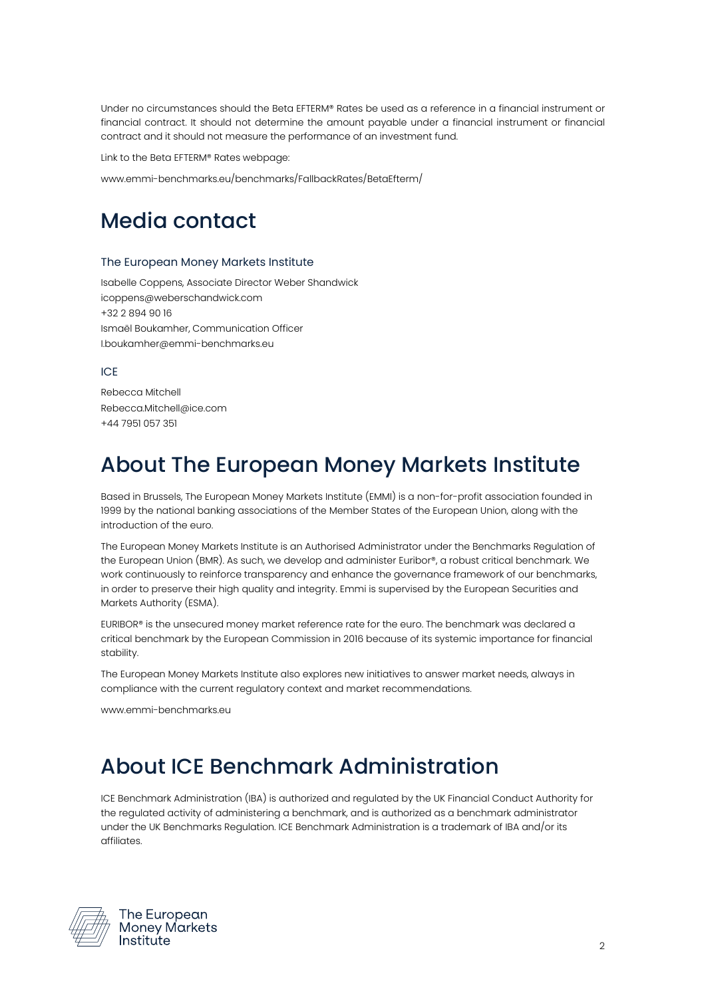Under no circumstances should the Beta EFTERM® Rates be used as a reference in a financial instrument or financial contract. It should not determine the amount payable under a financial instrument or financial contract and it should not measure the performance of an investment fund.

Link to the Beta EFTERM® Rates webpage:

www.emmi-benchmarks.eu/benchmarks/FallbackRates/BetaEfterm/

#### Media contact

#### The European Money Markets Institute

Isabelle Coppens, Associate Director Weber Shandwick icoppens@weberschandwick.com +32 2 894 90 16 Ismaël Boukamher, Communication Officer I.boukamher@emmi-benchmarks.eu

ICE

Rebecca Mitchell Rebecca.Mitchell@ice.com +44 7951 057 351

## About The European Money Markets Institute

Based in Brussels, The European Money Markets Institute (EMMI) is a non-for-profit association founded in 1999 by the national banking associations of the Member States of the European Union, along with the introduction of the euro.

The European Money Markets Institute is an Authorised Administrator under the Benchmarks Regulation of the European Union (BMR). As such, we develop and administer Euribor®, a robust critical benchmark. We work continuously to reinforce transparency and enhance the governance framework of our benchmarks, in order to preserve their high quality and integrity. Emmi is supervised by the European Securities and Markets Authority (ESMA).

EURIBOR® is the unsecured money market reference rate for the euro. The benchmark was declared a critical benchmark by the European Commission in 2016 because of its systemic importance for financial stability.

The European Money Markets Institute also explores new initiatives to answer market needs, always in compliance with the current regulatory context and market recommendations.

www.emmi-benchmarks.eu

## About ICE Benchmark Administration

ICE Benchmark Administration (IBA) is authorized and regulated by the UK Financial Conduct Authority for the regulated activity of administering a benchmark, and is authorized as a benchmark administrator under the UK Benchmarks Regulation. ICE Benchmark Administration is a trademark of IBA and/or its affiliates.



The European Monev Markets Institute